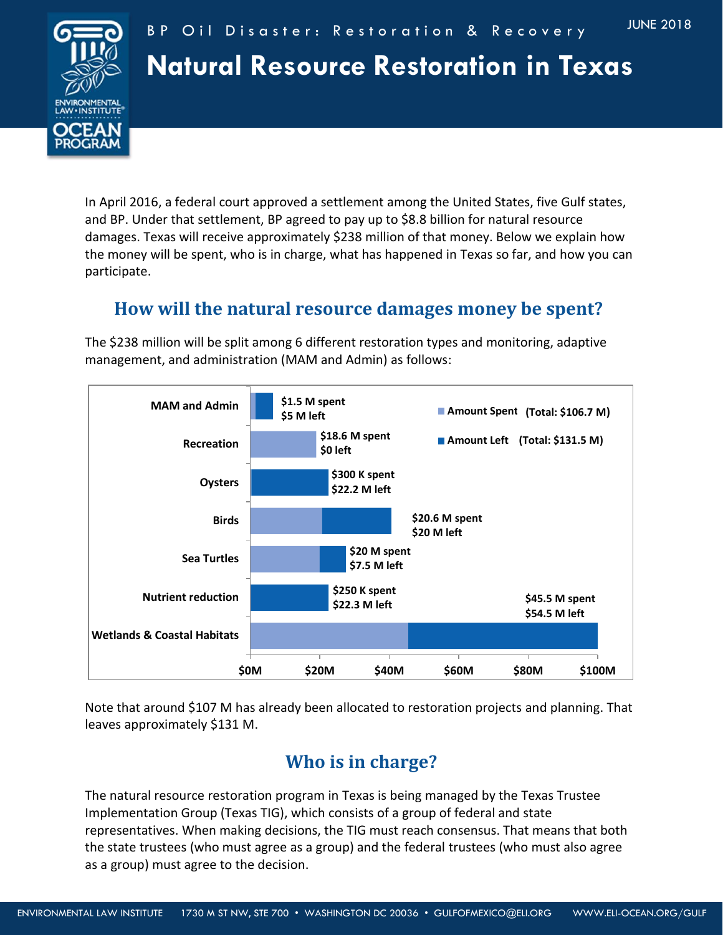

# **Natural Resource Restoration in Texas**

In April 2016, a federal court approved a settlement among the United States, five Gulf states, and BP. Under that settlement, BP agreed to pay up to \$8.8 billion for natural resource damages. Texas will receive approximately \$238 million of that money. Below we explain how the money will be spent, who is in charge, what has happened in Texas so far, and how you can participate.

## **How will the natural resource damages money be spent?**

The \$238 million will be split among 6 different restoration types and monitoring, adaptive management, and administration (MAM and Admin) as follows:



Note that around \$107 M has already been allocated to restoration projects and planning. That leaves approximately \$131 M.

# **Who is in charge?**

The natural resource restoration program in Texas is being managed by the Texas Trustee Implementation Group (Texas TIG), which consists of a group of federal and state representatives. When making decisions, the TIG must reach consensus. That means that both the state trustees (who must agree as a group) and the federal trustees (who must also agree as a group) must agree to the decision.